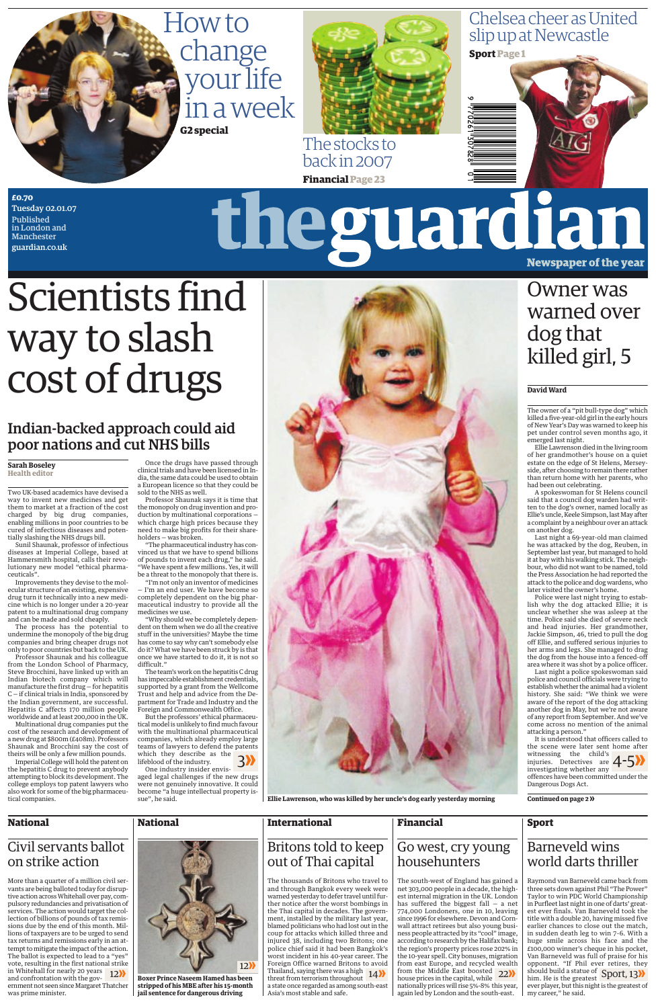**Ellie Lawrenson, who was killed by her uncle's dog early yesterday morning**

**Financial** 



## How to change your life in a week **G2 special**



Chelsea cheer as United slip up at Newcastle



**£0.70**  Tuesday 02.01.07 Published in London and **Manchester** guardian.co.uk

# theguardian Newspaper of the year

## Scientists find way to slash cost of drugs

## Indian-backed approach could aid poor nations and cut NHS bills

#### **Sarah Boseley Health editor**

Two UK-based academics have devised a way to invent new medicines and get them to market at a fraction of the cost charged by big drug companies, enabling millions in poor countries to be cured of infectious diseases and potentially slashing the NHS drugs bill.

Sunil Shaunak, professor of infectious diseases at Imperial College, based at Hammersmith hospital, calls their revolutionary new model "ethical pharmaceuticals".

Improvements they devise to the molecular structure of an existing, expensive drug turn it technically into a new medicine which is no longer under a 20-year patent to a multinational drug company and can be made and sold cheaply.

The process has the potential to undermine the monopoly of the big drug companies and bring cheaper drugs not only to poor countries but back to the UK. Professor Shaunak and his colleague

from the London School of Pharmacy, Steve Brocchini, have linked up with an Indian biotech company which will manufacture the first  $\overline{d}$ rug – for hepatitis C — if clinical trials in India, sponsored by the Indian government, are successful. Hepatitis C affects 170 million people worldwide and at least 200,000 in the UK. Multinational drug companies put the cost of the research and development of a new drug at \$800m (£408m). Professors Shaunak and Brocchini say the cost of theirs will be only a few million pounds. Imperial College will hold the patent on the hepatitis C drug to prevent anybody attempting to block its development. The college employs top patent lawyers who also work for some of the big pharmaceutical companies.

#### **National National**

Once the drugs have passed through clinical trials and have been licensed in India, the same data could be used to obtain a European licence so that they could be sold to the NHS as well.

Professor Shaunak says it is time that the monopoly on drug invention and production by multinational corporations which charge high prices because they need to make big profits for their shareholders — was broken.

"The pharmaceutical industry has convinced us that we have to spend billions of pounds to invent each drug," he said. "We have spent a few millions. Yes, it will be a threat to the monopoly that there is.

"I'm not only an inventor of medicines — I'm an end user. We have become so completely dependent on the big pharmaceutical industry to provide all the medicines we use.

"Why should we be completely dependent on them when we do all the creative stuff in the universities? Maybe the time has come to say why can't somebody else do it? What we have been struck by is that once we have started to do it, it is not so difficult."

The team's work on the hepatitis C drug has impeccable establishment credentials, supported by a grant from the Wellcome Trust and help and advice from the Department for Trade and Industry and the Foreign and Commonwealth Office. But the professors' ethical pharmaceutical model is unlikely to find much favour with the multinational pharmaceutical companies, which already employ large teams of lawyers to defend the patents which they describe as the lifeblood of the industry. One industry insider envisaged legal challenges if the new drugs were not genuinely innovative. It could become "a huge intellectual property issue", he said.

## Civil servants ballot on strike action

## **International** Britons told to keep out of Thai capital

The thousands of Britons who travel to and through Bangkok every week were warned yesterday to defer travel until further notice after the worst bombings in the Thai capital in decades. The government, installed by the military last year, blamed politicians who had lost out in the coup for attacks which killed three and injured 38, including two Britons; one police chief said it had been Bangkok's worst incident in his 40-year career. The Foreign Office warned Britons to avoid Thailand, saying there was a high a state once regarded as among south-east Asia's most stable and safe.

## **Financial** Go west, cry young househunters

threat from terrorism throughout 12≥ 14≥ 22≥ Sport, 13≥ The south-west of England has gained a net 303,000 people in a decade, the highest internal migration in the UK. London has suffered the biggest fall — a net 774,000 Londoners, one in 10, leaving since 1996 for elsewhere. Devon and Cornwall attract retirees but also young business people attracted by its "cool" image, according to research by the Halifax bank; the region's property prices rose 202% in the 10-year spell. City bonuses, migration from east Europe, and recycled wealth from the Middle East boosted house prices in the capital, while nationally prices will rise 5%-8% this year, again led by London and the south-east.

**Sport**

## Barneveld wins world darts thriller

Raymond van Barneveld came back from three sets down against Phil "The Power" Taylor to win PDC World Championship in Purfleet last night in one of darts' greatest ever finals. Van Barneveld took the title with a double 20, having missed five earlier chances to close out the match, in sudden death leg to win 7–6. With a huge smile across his face and the £100,000 winner's cheque in his pocket, Van Barneveld was full of praise for his opponent. "If Phil ever retires, they should build a statue of him. He is the greatest ever player, but this night is the greatest of my career," he said.

**Continued on page 2 ≥**

More than a quarter of a million civil servants are being balloted today for disruptive action across Whitehall over pay, compulsory redundancies and privatisation of services. The action would target the collection of billions of pounds of tax remissions due by the end of this month. Millions of taxpayers are to be urged to send tax returns and remissions early in an attempt to mitigate the impact of the action. The ballot is expected to lead to a "yes" vote, resulting in the first national strike in Whitehall for nearly 20 years and confrontation with the government not seen since Margaret Thatcher was prime minister.

### **David Ward**

The owner of a "pit bull-type dog" which killed a five-year-old girl in the early hours of New Year's Day was warned to keep his pet under control seven months ago, it emerged last night.

Ellie Lawrenson died in the living room of her grandmother's house on a quiet estate on the edge of St Helens, Merseyside, after choosing to remain there rather than return home with her parents, who had been out celebrating.

A spokeswoman for St Helens council said that a council dog warden had written to the dog's owner, named locally as Ellie's uncle, Keele Simpson, last May after a complaint by a neighbour over an attack on another dog.

Last night a 69-year-old man claimed he was attacked by the dog, Reuben, in September last year, but managed to hold it at bay with his walking stick. The neighbour, who did not want to be named, told the Press Association he had reported the attack to the police and dog wardens, who later visited the owner's home.

Police were last night trying to establish why the dog attacked Ellie; it is unclear whether she was asleep at the time. Police said she died of severe neck and head injuries. Her grandmother, Jackie Simpson, 46, tried to pull the dog off Ellie, and suffered serious injuries to her arms and legs. She managed to drag the dog from the house into a fenced-off area where it was shot by a police officer.

Last night a police spokeswoman said police and council officials were trying to establish whether the animal had a violent history. She said: "We think we were aware of the report of the dog attacking another dog in May, but we're not aware of any report from September. And we've come across no mention of the animal attacking a person." It is understood that officers called to the scene were later sent home after witnessing the child's investigating whether any offences have been committed under the Dangerous Dogs Act.





**Boxer Prince Naseem Hamed has been stripped of his MBE after his 15-month jail sentence for dangerous driving**

## Owner was warned over dog that killed girl, 5